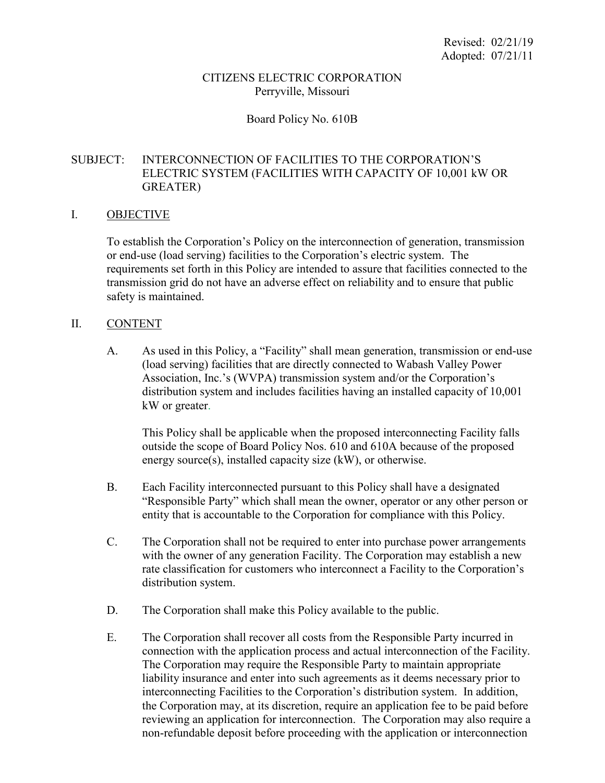#### CITIZENS ELECTRIC CORPORATION Perryville, Missouri

## Board Policy No. 610B

## SUBJECT: INTERCONNECTION OF FACILITIES TO THE CORPORATION'S ELECTRIC SYSTEM (FACILITIES WITH CAPACITY OF 10,001 kW OR GREATER)

#### I. OBJECTIVE

To establish the Corporation's Policy on the interconnection of generation, transmission or end-use (load serving) facilities to the Corporation's electric system. The requirements set forth in this Policy are intended to assure that facilities connected to the transmission grid do not have an adverse effect on reliability and to ensure that public safety is maintained.

#### II. CONTENT

A. As used in this Policy, a "Facility" shall mean generation, transmission or end-use (load serving) facilities that are directly connected to Wabash Valley Power Association, Inc.'s (WVPA) transmission system and/or the Corporation's distribution system and includes facilities having an installed capacity of 10,001 kW or greater.

This Policy shall be applicable when the proposed interconnecting Facility falls outside the scope of Board Policy Nos. 610 and 610A because of the proposed energy source(s), installed capacity size (kW), or otherwise.

- B. Each Facility interconnected pursuant to this Policy shall have a designated "Responsible Party" which shall mean the owner, operator or any other person or entity that is accountable to the Corporation for compliance with this Policy.
- C. The Corporation shall not be required to enter into purchase power arrangements with the owner of any generation Facility. The Corporation may establish a new rate classification for customers who interconnect a Facility to the Corporation's distribution system.
- D. The Corporation shall make this Policy available to the public.
- E. The Corporation shall recover all costs from the Responsible Party incurred in connection with the application process and actual interconnection of the Facility. The Corporation may require the Responsible Party to maintain appropriate liability insurance and enter into such agreements as it deems necessary prior to interconnecting Facilities to the Corporation's distribution system. In addition, the Corporation may, at its discretion, require an application fee to be paid before reviewing an application for interconnection. The Corporation may also require a non-refundable deposit before proceeding with the application or interconnection